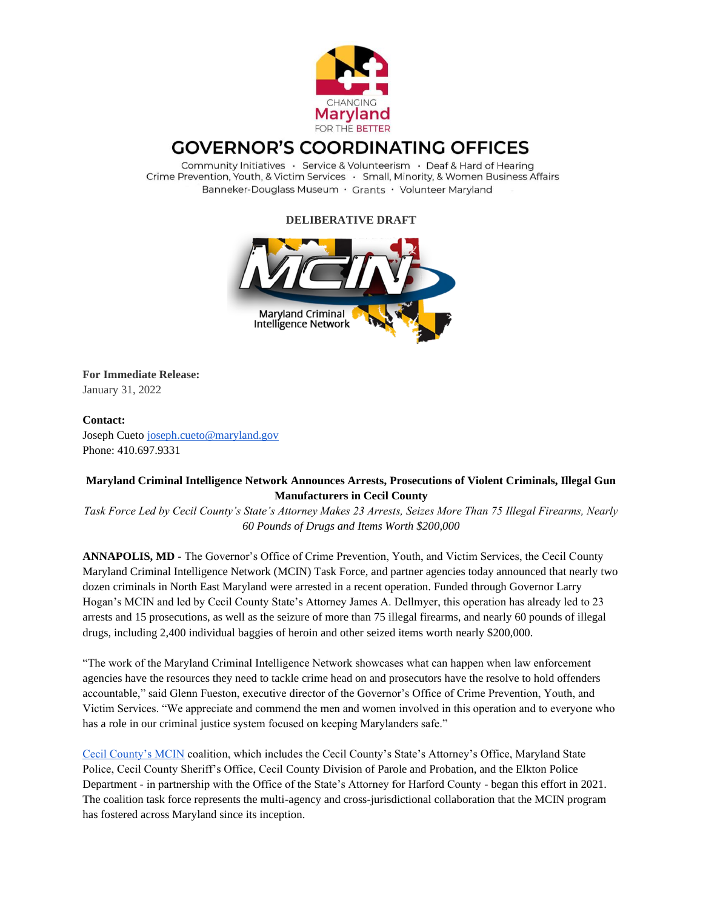

## **GOVERNOR'S COORDINATING OFFICES**

Community Initiatives · Service & Volunteerism · Deaf & Hard of Hearing Crime Prevention, Youth, & Victim Services · Small, Minority, & Women Business Affairs Banneker-Douglass Museum · Grants · Volunteer Maryland

**DELIBERATIVE DRAFT**



**For Immediate Release:** January 31, 2022

## **Contact:**

Joseph Cueto [joseph.cueto@maryland.gov](mailto:joseph.cueto@maryland.gov) Phone: 410.697.9331

## **Maryland Criminal Intelligence Network Announces Arrests, Prosecutions of Violent Criminals, Illegal Gun Manufacturers in Cecil County**

*Task Force Led by Cecil County's State's Attorney Makes 23 Arrests, Seizes More Than 75 Illegal Firearms, Nearly 60 Pounds of Drugs and Items Worth \$200,000*

**ANNAPOLIS, MD -** The Governor's Office of Crime Prevention, Youth, and Victim Services, the Cecil County Maryland Criminal Intelligence Network (MCIN) Task Force, and partner agencies today announced that nearly two dozen criminals in North East Maryland were arrested in a recent operation. Funded through Governor Larry Hogan's MCIN and led by Cecil County State's Attorney James A. Dellmyer, this operation has already led to 23 arrests and 15 prosecutions, as well as the seizure of more than 75 illegal firearms, and nearly 60 pounds of illegal drugs, including 2,400 individual baggies of heroin and other seized items worth nearly \$200,000.

"The work of the Maryland Criminal Intelligence Network showcases what can happen when law enforcement agencies have the resources they need to tackle crime head on and prosecutors have the resolve to hold offenders accountable," said Glenn Fueston, executive director of the Governor's Office of Crime Prevention, Youth, and Victim Services. "We appreciate and commend the men and women involved in this operation and to everyone who has a role in our criminal justice system focused on keeping Marylanders safe."

[Cecil County's MCIN](http://goccp.maryland.gov/mcin/cecil-mcin/) coalition, which includes the Cecil County's State's Attorney's Office, Maryland State Police, Cecil County Sheriff's Office, Cecil County Division of Parole and Probation, and the Elkton Police Department - in partnership with the Office of the State's Attorney for Harford County - began this effort in 2021. The coalition task force represents the multi-agency and cross-jurisdictional collaboration that the MCIN program has fostered across Maryland since its inception.